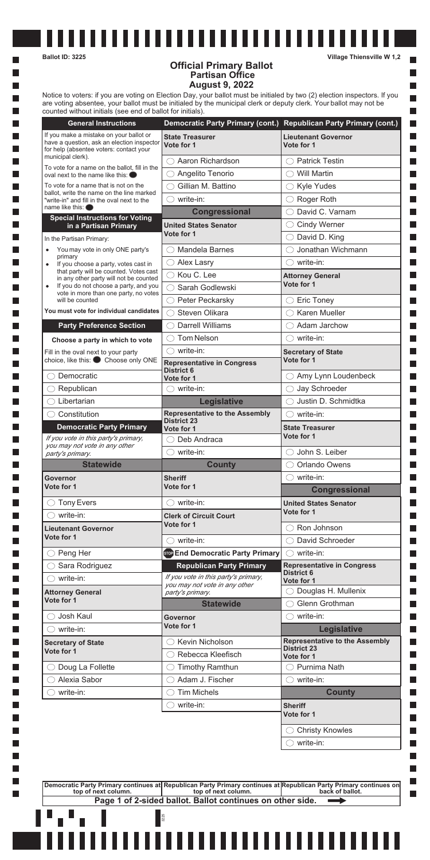$\overline{\phantom{a}}$ H

**I** 

l a

l a

|                                                                                                                                                                | Democratic Party Primary (cont.) Republican Party Primary (cont.)                                                 |                                          |
|----------------------------------------------------------------------------------------------------------------------------------------------------------------|-------------------------------------------------------------------------------------------------------------------|------------------------------------------|
| If you make a mistake on your ballot or<br>have a question, ask an election inspector<br>for help (absentee voters: contact your                               | <b>State Treasurer</b><br>Vote for 1                                                                              | <b>Lieutenant Governor</b><br>Vote for 1 |
| municipal clerk).                                                                                                                                              | Aaron Richardson                                                                                                  | <b>Patrick Testin</b><br>$($ )           |
| To vote for a name on the ballot, fill in the<br>oval next to the name like this: $\bullet$                                                                    | Angelito Tenorio                                                                                                  | <b>Will Martin</b><br>$( \ )$            |
| To vote for a name that is not on the<br>ballot, write the name on the line marked<br>"write-in" and fill in the oval next to the<br>name like this: $\bullet$ | Gillian M. Battino                                                                                                | $\bigcirc$ Kyle Yudes                    |
|                                                                                                                                                                | write-in:<br>$($ )                                                                                                | Roger Roth<br>$( \ )$                    |
|                                                                                                                                                                | <b>Congressional</b>                                                                                              | David C. Varnam                          |
| <b>Special Instructions for Voting</b><br>in a Partisan Primary                                                                                                | <b>United States Senator</b>                                                                                      | <b>Cindy Werner</b><br>()                |
| In the Partisan Primary:                                                                                                                                       | Vote for 1                                                                                                        | David D. King                            |
| You may vote in only ONE party's                                                                                                                               | <b>Mandela Barnes</b>                                                                                             | Jonathan Wichmann                        |
| primary<br>If you choose a party, votes cast in<br>$\bullet$                                                                                                   | <b>Alex Lasry</b><br>$(\ )$                                                                                       | write-in:<br>( )                         |
| that party will be counted. Votes cast                                                                                                                         | $\bigcirc$ Kou C. Lee                                                                                             | <b>Attorney General</b>                  |
| in any other party will not be counted<br>If you do not choose a party, and you<br>$\bullet$                                                                   | Sarah Godlewski                                                                                                   | Vote for 1                               |
| vote in more than one party, no votes<br>will be counted                                                                                                       | Peter Peckarsky<br>( )                                                                                            | <b>Eric Toney</b><br>O                   |
| You must vote for individual candidates                                                                                                                        | Steven Olikara                                                                                                    | <b>Karen Mueller</b>                     |
| <b>Party Preference Section</b>                                                                                                                                | <b>Darrell Williams</b>                                                                                           | Adam Jarchow                             |
|                                                                                                                                                                | <b>Tom Nelson</b>                                                                                                 | $\bigcirc$ write-in:                     |
| Choose a party in which to vote                                                                                                                                | write-in:<br>$\left( \quad \right)$                                                                               | <b>Secretary of State</b>                |
| Fill in the oval next to your party<br>choice, like this: Choose only ONE                                                                                      | <b>Representative in Congress</b><br><b>District 6</b>                                                            | Vote for 1                               |
| Democratic                                                                                                                                                     | Vote for 1                                                                                                        | Amy Lynn Loudenbeck<br>()                |
| Republican                                                                                                                                                     | $\bigcirc$ write-in:                                                                                              | Jay Schroeder<br>O                       |
| Libertarian                                                                                                                                                    | Legislative                                                                                                       | Justin D. Schmidtka                      |
| Constitution                                                                                                                                                   | <b>Representative to the Assembly</b><br><b>District 23</b>                                                       | write-in:                                |
| <b>Democratic Party Primary</b>                                                                                                                                | Vote for 1                                                                                                        | <b>State Treasurer</b>                   |
| If you vote in this party's primary,<br>you may not vote in any other                                                                                          | Deb Andraca                                                                                                       | Vote for 1                               |
| party's primary.                                                                                                                                               | write-in:<br>$\left( \quad \right)$                                                                               | John S. Leiber<br>$($ )                  |
| <b>Statewide</b>                                                                                                                                               | <b>County</b>                                                                                                     | <b>Orlando Owens</b>                     |
| Governor                                                                                                                                                       | <b>Sheriff</b>                                                                                                    | write-in:<br>( )                         |
| Vote for 1                                                                                                                                                     | Vote for 1                                                                                                        | <b>Congressional</b>                     |
|                                                                                                                                                                | write-in:<br>$($ )                                                                                                | <b>United States Senator</b>             |
| <b>Tony Evers</b><br>( )                                                                                                                                       |                                                                                                                   | Vote for 1                               |
| write-in:                                                                                                                                                      | <b>Clerk of Circuit Court</b>                                                                                     |                                          |
| <b>Lieutenant Governor</b>                                                                                                                                     | Vote for 1                                                                                                        | Ron Johnson                              |
| Vote for 1                                                                                                                                                     | write-in:                                                                                                         | David Schroeder                          |
| Peng Her<br>$(\ )$                                                                                                                                             | son End Democratic Party Primary                                                                                  | $\bigcirc$ write-in:                     |
| Sara Rodriguez                                                                                                                                                 | <b>Republican Party Primary</b>                                                                                   | <b>Representative in Congress</b>        |
| write-in:                                                                                                                                                      | If you vote in this party's primary,                                                                              | <b>District 6</b>                        |
|                                                                                                                                                                | you may not vote in any other                                                                                     | Vote for 1<br>Douglas H. Mullenix        |
| <b>Attorney General</b><br>Vote for 1                                                                                                                          | party's primary.<br><b>Statewide</b>                                                                              | Glenn Grothman                           |
| Josh Kaul                                                                                                                                                      | Governor                                                                                                          | write-in:<br>$($ )                       |
| write-in:                                                                                                                                                      | Vote for 1                                                                                                        |                                          |
|                                                                                                                                                                | Kevin Nicholson                                                                                                   | <b>Legislative</b>                       |
| <b>Secretary of State</b><br>Vote for 1                                                                                                                        | Rebecca Kleefisch                                                                                                 | <b>District 23</b>                       |
| Doug La Follette                                                                                                                                               | <b>Timothy Ramthun</b>                                                                                            | Vote for 1<br>$\bigcirc$ Purnima Nath    |
| Alexia Sabor                                                                                                                                                   | Adam J. Fischer                                                                                                   | write-in:<br>( )                         |
| write-in:<br>$($ )                                                                                                                                             | <b>Tim Michels</b>                                                                                                | <b>Representative to the Assembly</b>    |
|                                                                                                                                                                | write-in:<br>$\left( \begin{array}{c} \end{array} \right)$                                                        | <b>County</b><br><b>Sheriff</b>          |
|                                                                                                                                                                |                                                                                                                   | Vote for 1                               |
|                                                                                                                                                                |                                                                                                                   | <b>Christy Knowles</b>                   |
|                                                                                                                                                                |                                                                                                                   | write-in:                                |
|                                                                                                                                                                |                                                                                                                   |                                          |
|                                                                                                                                                                | Democratic Party Primary continues at Republican Party Primary continues at Republican Party Primary continues on |                                          |
| top of next column.                                                                                                                                            | top of next column.<br>Page 1 of 2-sided ballot. Ballot continues on other side.                                  | back of ballot.                          |

**Ballot ID: 3225 Village Thiensville W 1,2**

 $\blacksquare$ 

 $\Box$ П

 $\Box$ 

 $\Box$ 

## **Official Primary Ballot Partisan Office August 9, 2022**

----------------------------------

Notice to voters: if you are voting on Election Day, your ballot must be initialed by two (2) election inspectors. If you are voting absentee, your ballot must be initialed by the municipal clerk or deputy clerk. Your ballot may not be counted without initials (see end of ballot for initials).